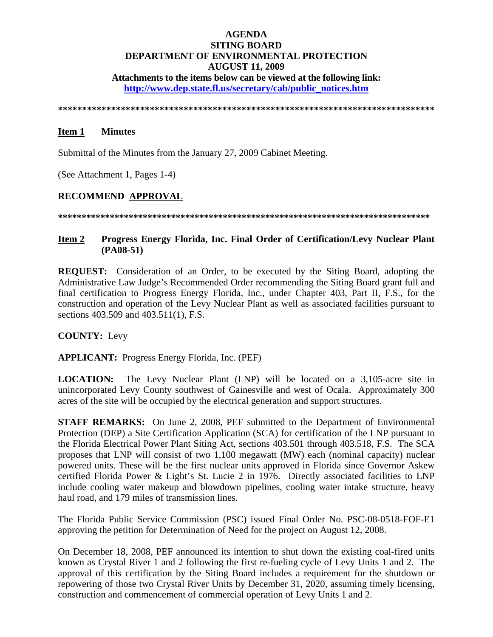## **AGENDA SITING BOARD DEPARTMENT OF ENVIRONMENTAL PROTECTION AUGUST 11, 2009 Attachments to the items below can be viewed at the following link:**

**http://www.dep.state.fl.us/secretary/cab/public\_notices.htm**

**\*\*\*\*\*\*\*\*\*\*\*\*\*\*\*\*\*\*\*\*\*\*\*\*\*\*\*\*\*\*\*\*\*\*\*\*\*\*\*\*\*\*\*\*\*\*\*\*\*\*\*\*\*\*\*\*\*\*\*\*\*\*\*\*\*\*\*\*\*\*\*\*\*\*\*\*\*\*** 

#### **Item 1 Minutes**

Submittal of the Minutes from the January 27, 2009 Cabinet Meeting.

(See Attachment 1, Pages 1-4)

#### **RECOMMEND APPROVAL**

**\*\*\*\*\*\*\*\*\*\*\*\*\*\*\*\*\*\*\*\*\*\*\*\*\*\*\*\*\*\*\*\*\*\*\*\*\*\*\*\*\*\*\*\*\*\*\*\*\*\*\*\*\*\*\*\*\*\*\*\*\*\*\*\*\*\*\*\*\*\*\*\*\*\*\*\*\*\*\***

# **Item 2 Progress Energy Florida, Inc. Final Order of Certification/Levy Nuclear Plant (PA08-51)**

**REQUEST:** Consideration of an Order, to be executed by the Siting Board, adopting the Administrative Law Judge's Recommended Order recommending the Siting Board grant full and final certification to Progress Energy Florida, Inc., under Chapter 403, Part II, F.S., for the construction and operation of the Levy Nuclear Plant as well as associated facilities pursuant to sections 403.509 and 403.511(1), F.S.

**COUNTY:** Levy

**APPLICANT:** Progress Energy Florida, Inc. (PEF)

**LOCATION:** The Levy Nuclear Plant (LNP) will be located on a 3,105-acre site in unincorporated Levy County southwest of Gainesville and west of Ocala. Approximately 300 acres of the site will be occupied by the electrical generation and support structures.

**STAFF REMARKS:** On June 2, 2008, PEF submitted to the Department of Environmental Protection (DEP) a Site Certification Application (SCA) for certification of the LNP pursuant to the Florida Electrical Power Plant Siting Act, sections 403.501 through 403.518, F.S. The SCA proposes that LNP will consist of two 1,100 megawatt (MW) each (nominal capacity) nuclear powered units. These will be the first nuclear units approved in Florida since Governor Askew certified Florida Power & Light's St. Lucie 2 in 1976. Directly associated facilities to LNP include cooling water makeup and blowdown pipelines, cooling water intake structure, heavy haul road, and 179 miles of transmission lines.

The Florida Public Service Commission (PSC) issued Final Order No. PSC-08-0518-FOF-E1 approving the petition for Determination of Need for the project on August 12, 2008.

On December 18, 2008, PEF announced its intention to shut down the existing coal-fired units known as Crystal River 1 and 2 following the first re-fueling cycle of Levy Units 1 and 2. The approval of this certification by the Siting Board includes a requirement for the shutdown or repowering of those two Crystal River Units by December 31, 2020, assuming timely licensing, construction and commencement of commercial operation of Levy Units 1 and 2.